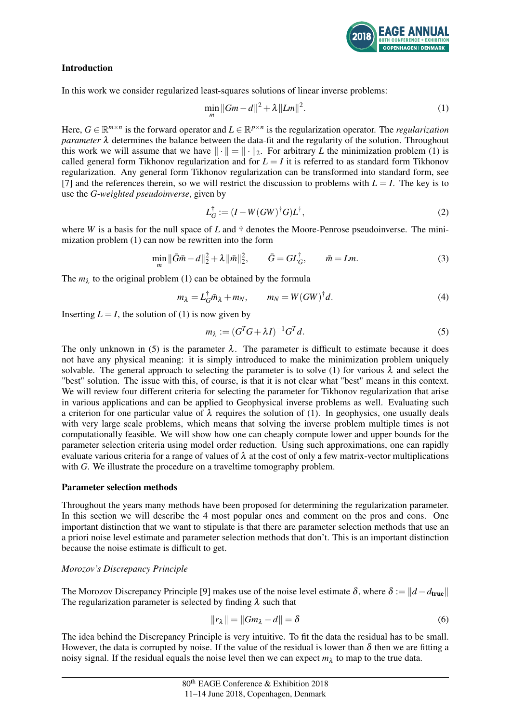

## Introduction

In this work we consider regularized least-squares solutions of linear inverse problems:

$$
\min_{m} \|Gm - d\|^2 + \lambda \|Lm\|^2. \tag{1}
$$

Here,  $G \in \mathbb{R}^{m \times n}$  is the forward operator and  $L \in \mathbb{R}^{p \times n}$  is the regularization operator. The *regularization parameter*  $\lambda$  determines the balance between the data-fit and the regularity of the solution. Throughout this work we will assume that we have  $\|\cdot\| = \|\cdot\|_2$ . For arbitrary *L* the minimization problem (1) is called general form Tikhonov regularization and for  $L = I$  it is referred to as standard form Tikhonov regularization. Any general form Tikhonov regularization can be transformed into standard form, see [7] and the references therein, so we will restrict the discussion to problems with  $L = I$ . The key is to use the *G-weighted pseudoinverse*, given by

$$
L_G^{\dagger} := (I - W(GW)^{\dagger}G)L^{\dagger}, \tag{2}
$$

where *W* is a basis for the null space of *L* and † denotes the Moore-Penrose pseudoinverse. The minimization problem (1) can now be rewritten into the form

$$
\min_{m} \|\bar{G}\bar{m} - d\|_{2}^{2} + \lambda \|\bar{m}\|_{2}^{2}, \qquad \bar{G} = GL_{G}^{\dagger}, \qquad \bar{m} = Lm.
$$
\n(3)

The  $m_\lambda$  to the original problem (1) can be obtained by the formula

$$
m_{\lambda} = L_G^{\dagger} \bar{m}_{\lambda} + m_N, \qquad m_N = W(GW)^{\dagger} d. \tag{4}
$$

Inserting  $L = I$ , the solution of (1) is now given by

$$
m_{\lambda} := (G^T G + \lambda I)^{-1} G^T d. \tag{5}
$$

The only unknown in (5) is the parameter  $\lambda$ . The parameter is difficult to estimate because it does not have any physical meaning: it is simply introduced to make the minimization problem uniquely solvable. The general approach to selecting the parameter is to solve (1) for various  $\lambda$  and select the "best" solution. The issue with this, of course, is that it is not clear what "best" means in this context. We will review four different criteria for selecting the parameter for Tikhonov regularization that arise in various applications and can be applied to Geophysical inverse problems as well. Evaluating such a criterion for one particular value of  $\lambda$  requires the solution of (1). In geophysics, one usually deals with very large scale problems, which means that solving the inverse problem multiple times is not computationally feasible. We will show how one can cheaply compute lower and upper bounds for the parameter selection criteria using model order reduction. Using such approximations, one can rapidly evaluate various criteria for a range of values of  $\lambda$  at the cost of only a few matrix-vector multiplications with *G*. We illustrate the procedure on a traveltime tomography problem.

#### Parameter selection methods

Throughout the years many methods have been proposed for determining the regularization parameter. In this section we will describe the 4 most popular ones and comment on the pros and cons. One important distinction that we want to stipulate is that there are parameter selection methods that use an a priori noise level estimate and parameter selection methods that don't. This is an important distinction because the noise estimate is difficult to get.

## *Morozov's Discrepancy Principle*

The Morozov Discrepancy Principle [9] makes use of the noise level estimate  $\delta$ , where  $\delta := ||d - d_{true}||$ The regularization parameter is selected by finding  $\lambda$  such that

$$
||r_{\lambda}|| = ||Gm_{\lambda} - d|| = \delta \tag{6}
$$

The idea behind the Discrepancy Principle is very intuitive. To fit the data the residual has to be small. However, the data is corrupted by noise. If the value of the residual is lower than  $\delta$  then we are fitting a noisy signal. If the residual equals the noise level then we can expect  $m<sub>\lambda</sub>$  to map to the true data.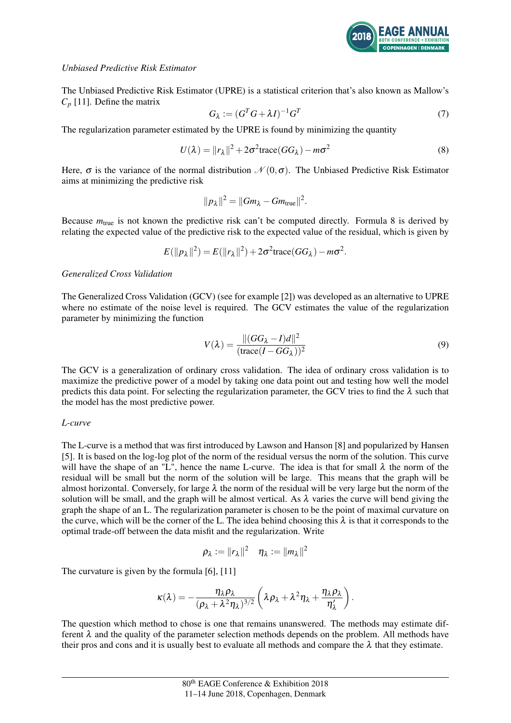

## *Unbiased Predictive Risk Estimator*

The Unbiased Predictive Risk Estimator (UPRE) is a statistical criterion that's also known as Mallow's  $C_p$  [11]. Define the matrix

$$
G_{\lambda} := (G^T G + \lambda I)^{-1} G^T \tag{7}
$$

The regularization parameter estimated by the UPRE is found by minimizing the quantity

$$
U(\lambda) = ||r_{\lambda}||^2 + 2\sigma^2 \text{trace}(GG_{\lambda}) - m\sigma^2
$$
\n(8)

Here,  $\sigma$  is the variance of the normal distribution  $\mathcal{N}(0,\sigma)$ . The Unbiased Predictive Risk Estimator aims at minimizing the predictive risk

$$
||p_\lambda||^2 = ||Gm_\lambda - Gm_{\text{true}}||^2.
$$

Because  $m_{true}$  is not known the predictive risk can't be computed directly. Formula 8 is derived by relating the expected value of the predictive risk to the expected value of the residual, which is given by

$$
E(||p_{\lambda}||^2) = E(||r_{\lambda}||^2) + 2\sigma^2 \text{trace}(GG_{\lambda}) - m\sigma^2.
$$

*Generalized Cross Validation*

The Generalized Cross Validation (GCV) (see for example [2]) was developed as an alternative to UPRE where no estimate of the noise level is required. The GCV estimates the value of the regularization parameter by minimizing the function

$$
V(\lambda) = \frac{\|(GG_{\lambda} - I)d\|^2}{(\text{trace}(I - GG_{\lambda}))^2}
$$
\n(9)

The GCV is a generalization of ordinary cross validation. The idea of ordinary cross validation is to maximize the predictive power of a model by taking one data point out and testing how well the model predicts this data point. For selecting the regularization parameter, the GCV tries to find the  $\lambda$  such that the model has the most predictive power.

### *L-curve*

The L-curve is a method that was first introduced by Lawson and Hanson [8] and popularized by Hansen [5]. It is based on the log-log plot of the norm of the residual versus the norm of the solution. This curve will have the shape of an "L", hence the name L-curve. The idea is that for small  $\lambda$  the norm of the residual will be small but the norm of the solution will be large. This means that the graph will be almost horizontal. Conversely, for large  $\lambda$  the norm of the residual will be very large but the norm of the solution will be small, and the graph will be almost vertical. As  $\lambda$  varies the curve will bend giving the graph the shape of an L. The regularization parameter is chosen to be the point of maximal curvature on the curve, which will be the corner of the L. The idea behind choosing this  $\lambda$  is that it corresponds to the optimal trade-off between the data misfit and the regularization. Write

$$
\rho_\lambda:=\|r_\lambda\|^2\quad \eta_\lambda:=\|m_\lambda\|^2
$$

The curvature is given by the formula [6], [11]

$$
\kappa(\lambda) = -\frac{\eta_{\lambda}\rho_{\lambda}}{(\rho_{\lambda} + \lambda^2 \eta_{\lambda})^{3/2}} \left( \lambda \rho_{\lambda} + \lambda^2 \eta_{\lambda} + \frac{\eta_{\lambda}\rho_{\lambda}}{\eta_{\lambda}'} \right).
$$

The question which method to chose is one that remains unanswered. The methods may estimate different  $\lambda$  and the quality of the parameter selection methods depends on the problem. All methods have their pros and cons and it is usually best to evaluate all methods and compare the  $\lambda$  that they estimate.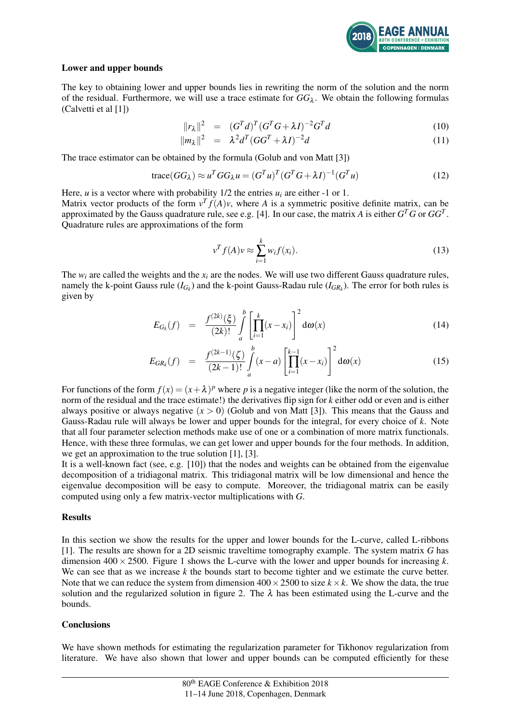

## Lower and upper bounds

The key to obtaining lower and upper bounds lies in rewriting the norm of the solution and the norm of the residual. Furthermore, we will use a trace estimate for  $GG_\lambda$ . We obtain the following formulas (Calvetti et al [1])

$$
||r_{\lambda}||^{2} = (G^{T}d)^{T}(G^{T}G + \lambda I)^{-2}G^{T}d \qquad (10)
$$

$$
||m_{\lambda}||^2 = \lambda^2 d^T (GG^T + \lambda I)^{-2} d \tag{11}
$$

The trace estimator can be obtained by the formula (Golub and von Matt [3])

$$
\text{trace}(GG_{\lambda}) \approx u^TGG_{\lambda}u = (G^T u)^T (G^T G + \lambda I)^{-1} (G^T u)
$$
\n(12)

Here, *u* is a vector where with probability  $1/2$  the entries  $u_i$  are either -1 or 1. Matrix vector products of the form  $v^T f(A)v$ , where *A* is a symmetric positive definite matrix, can be approximated by the Gauss quadrature rule, see e.g. [4]. In our case, the matrix *A* is either  $G<sup>T</sup>G$  or  $GG<sup>T</sup>$ . Quadrature rules are approximations of the form

$$
v^T f(A) v \approx \sum_{i=1}^k w_i f(x_i). \tag{13}
$$

The  $w_i$  are called the weights and the  $x_i$  are the nodes. We will use two different Gauss quadrature rules, namely the k-point Gauss rule  $(I_{G_k})$  and the k-point Gauss-Radau rule  $(I_{G_R})$ . The error for both rules is given by

$$
E_{G_k}(f) = \frac{f^{(2k)}(\xi)}{(2k)!} \int_a^b \left[ \prod_{i=1}^k (x - x_i) \right]^2 d\omega(x)
$$
 (14)

$$
E_{GR_k}(f) = \frac{f^{(2k-1)}(\zeta)}{(2k-1)!} \int_a^b (x-a) \left[ \prod_{i=1}^{k-1} (x-x_i) \right]^2 d\omega(x)
$$
 (15)

For functions of the form  $f(x) = (x + \lambda)^p$  where p is a negative integer (like the norm of the solution, the norm of the residual and the trace estimate!) the derivatives flip sign for *k* either odd or even and is either always positive or always negative  $(x > 0)$  (Golub and von Matt [3]). This means that the Gauss and Gauss-Radau rule will always be lower and upper bounds for the integral, for every choice of *k*. Note that all four parameter selection methods make use of one or a combination of more matrix functionals. Hence, with these three formulas, we can get lower and upper bounds for the four methods. In addition, we get an approximation to the true solution [1], [3].

It is a well-known fact (see, e.g. [10]) that the nodes and weights can be obtained from the eigenvalue decomposition of a tridiagonal matrix. This tridiagonal matrix will be low dimensional and hence the eigenvalue decomposition will be easy to compute. Moreover, the tridiagonal matrix can be easily computed using only a few matrix-vector multiplications with *G*.

#### Results

In this section we show the results for the upper and lower bounds for the L-curve, called L-ribbons [1]. The results are shown for a 2D seismic traveltime tomography example. The system matrix *G* has dimension  $400 \times 2500$ . Figure 1 shows the L-curve with the lower and upper bounds for increasing *k*. We can see that as we increase *k* the bounds start to become tighter and we estimate the curve better. Note that we can reduce the system from dimension  $400 \times 2500$  to size  $k \times k$ . We show the data, the true solution and the regularized solution in figure 2. The  $\lambda$  has been estimated using the L-curve and the bounds.

#### **Conclusions**

We have shown methods for estimating the regularization parameter for Tikhonov regularization from literature. We have also shown that lower and upper bounds can be computed efficiently for these